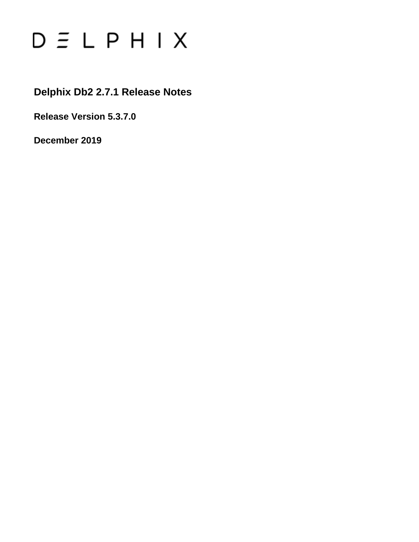# $D \subseteq L$   $P$   $H$   $I$   $X$

### **Delphix Db2 2.7.1 Release Notes**

**Release Version 5.3.7.0**

**December 2019**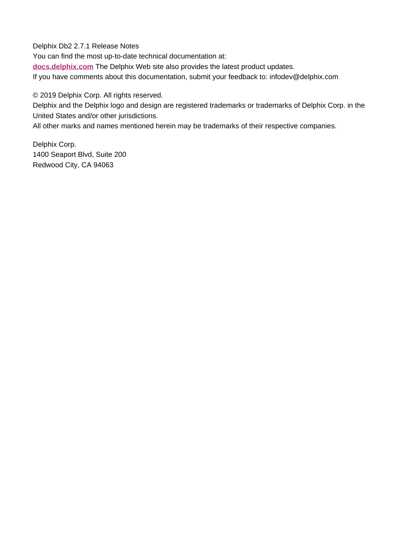Delphix Db2 2.7.1 Release Notes

You can find the most up-to-date technical documentation at:

**[docs.delphix.com](http://docs.delphix.com)** The Delphix Web site also provides the latest product updates.

If you have comments about this documentation, submit your feedback to: infodev@delphix.com

© 2019 Delphix Corp. All rights reserved.

Delphix and the Delphix logo and design are registered trademarks or trademarks of Delphix Corp. in the United States and/or other jurisdictions.

All other marks and names mentioned herein may be trademarks of their respective companies.

Delphix Corp. 1400 Seaport Blvd, Suite 200 Redwood City, CA 94063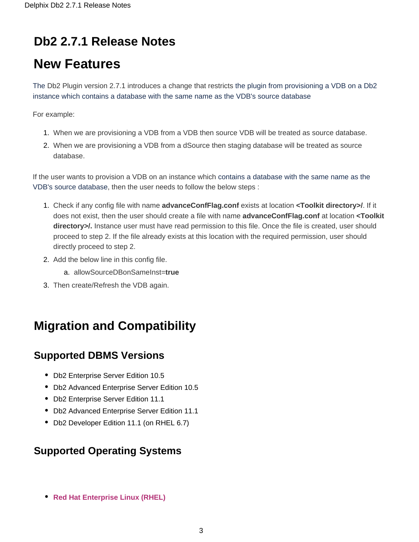## **Db2 2.7.1 Release Notes**

# **New Features**

The Db2 Plugin version 2.7.1 introduces a change that restricts the plugin from provisioning a VDB on a Db2 instance which contains a database with the same name as the VDB's source database

For example:

- 1. When we are provisioning a VDB from a VDB then source VDB will be treated as source database.
- 2. When we are provisioning a VDB from a dSource then staging database will be treated as source database.

If the user wants to provision a VDB on an instance which contains a database with the same name as the VDB's source database, then the user needs to follow the below steps :

- 1. Check if any config file with name **advanceConfFlag.conf** exists at location **<Toolkit directory>/**. If it does not exist, then the user should create a file with name **advanceConfFlag.conf** at location **<Toolkit** directory>/. Instance user must have read permission to this file. Once the file is created, user should proceed to step 2. If the file already exists at this location with the required permission, user should directly proceed to step 2.
- 2. Add the below line in this config file.
	- a. allowSourceDBonSameInst=**true**
- 3. Then create/Refresh the VDB again.

### **Migration and Compatibility**

#### **Supported DBMS Versions**

- Db2 Enterprise Server Edition 10.5
- Db2 Advanced Enterprise Server Edition 10.5
- Db2 Enterprise Server Edition 11.1
- Db2 Advanced Enterprise Server Edition 11.1
- Db2 Developer Edition 11.1 (on RHEL 6.7)

#### **Supported Operating Systems**

**[Red Hat Enterprise Linux \(RHEL\)](#page-3-0)**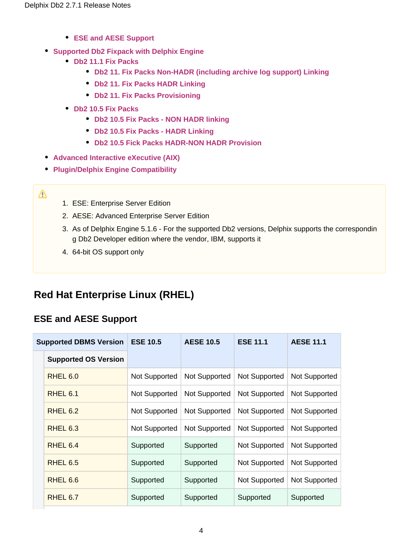- **[ESE and AESE Support](#page-3-1)**
- **[Supported Db2 Fixpack with Delphix Engine](#page-4-0)**
	- **[Db2 11.1 Fix Packs](#page-4-1)** 
		- **[Db2 11. Fix Packs Non-HADR \(including archive log support\) Linking](#page-4-2)**
		- **[Db2 11. Fix Packs HADR Linking](#page-4-3)**
		- **[Db2 11. Fix Packs Provisioning](#page-4-4)**
	- **[Db2 10.5 Fix Packs](#page-5-0)**
		- **[Db2 10.5 Fix Packs NON HADR linking](#page-5-1)**
		- **[Db2 10.5 Fix Packs HADR Linking](#page-6-0)**
		- **[Db2 10.5 Fick Packs HADR-NON HADR Provision](#page-6-1)**
- **[Advanced Interactive eXecutive \(AIX\)](#page-7-0)**
- **[Plugin/Delphix Engine Compatibility](#page-7-1)**
- Δ
- 1. ESE: Enterprise Server Edition
- 2. AESE: Advanced Enterprise Server Edition
- 3. As of Delphix Engine 5.1.6 For the supported Db2 versions, Delphix supports the correspondin g Db2 Developer edition where the vendor, IBM, supports it
- 4. 64-bit OS support only

### <span id="page-3-0"></span>**Red Hat Enterprise Linux (RHEL)**

#### <span id="page-3-1"></span>**ESE and AESE Support**

| <b>Supported DBMS Version</b> | <b>ESE 10.5</b> | <b>AESE 10.5</b> | <b>ESE 11.1</b> | <b>AESE 11.1</b>     |  |
|-------------------------------|-----------------|------------------|-----------------|----------------------|--|
| <b>Supported OS Version</b>   |                 |                  |                 |                      |  |
| RHEL 6.0                      | Not Supported   | Not Supported    | Not Supported   | Not Supported        |  |
| RHEL <sub>6.1</sub>           | Not Supported   | Not Supported    | Not Supported   | <b>Not Supported</b> |  |
| RHEL 6.2                      | Not Supported   | Not Supported    | Not Supported   | Not Supported        |  |
| RHEL 6.3                      | Not Supported   | Not Supported    | Not Supported   | <b>Not Supported</b> |  |
| RHEL 6.4                      | Supported       | Supported        | Not Supported   | Not Supported        |  |
| RHEL 6.5                      | Supported       | Supported        | Not Supported   | <b>Not Supported</b> |  |
| RHEL 6.6                      | Supported       | Supported        | Not Supported   | Not Supported        |  |
| RHEL 6.7                      | Supported       | Supported        | Supported       | Supported            |  |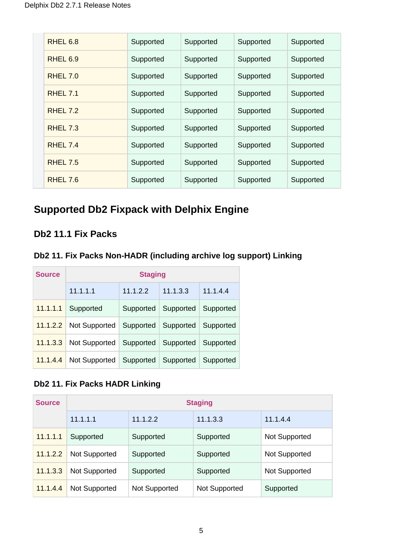| RHEL 6.8            | Supported | Supported | Supported | Supported |
|---------------------|-----------|-----------|-----------|-----------|
| RHEL <sub>6.9</sub> | Supported | Supported | Supported | Supported |
| <b>RHEL 7.0</b>     | Supported | Supported | Supported | Supported |
| RHEL 7.1            | Supported | Supported | Supported | Supported |
| RHEL 7.2            | Supported | Supported | Supported | Supported |
| <b>RHEL 7.3</b>     | Supported | Supported | Supported | Supported |
| RHEL 74             | Supported | Supported | Supported | Supported |
| <b>RHEL 7.5</b>     | Supported | Supported | Supported | Supported |
| RHEL 7.6            | Supported | Supported | Supported | Supported |

### <span id="page-4-0"></span>**Supported Db2 Fixpack with Delphix Engine**

#### <span id="page-4-1"></span>**Db2 11.1 Fix Packs**

#### <span id="page-4-2"></span>**Db2 11. Fix Packs Non-HADR (including archive log support) Linking**

| <b>Source</b> | <b>Staging</b> |           |           |           |  |  |  |  |  |  |  |
|---------------|----------------|-----------|-----------|-----------|--|--|--|--|--|--|--|
|               | 11.1.1.1       | 11.1.2.2  | 11.1.3.3  | 11.1.4.4  |  |  |  |  |  |  |  |
| 11.1.1.1      | Supported      | Supported | Supported | Supported |  |  |  |  |  |  |  |
| 11.1.2.2      | Not Supported  | Supported | Supported | Supported |  |  |  |  |  |  |  |
| 11.1.3.3      | Not Supported  | Supported | Supported | Supported |  |  |  |  |  |  |  |
| 11.1.4.4      | Not Supported  | Supported | Supported | Supported |  |  |  |  |  |  |  |

#### <span id="page-4-3"></span>**Db2 11. Fix Packs HADR Linking**

<span id="page-4-4"></span>

| <b>Source</b> | <b>Staging</b> |               |               |                      |  |  |  |  |  |  |
|---------------|----------------|---------------|---------------|----------------------|--|--|--|--|--|--|
|               | 11.1.1.1       | 11.1.2.2      | 11.1.3.3      | 11.1.4.4             |  |  |  |  |  |  |
| 11.1.1.1      | Supported      | Supported     | Supported     | Not Supported        |  |  |  |  |  |  |
| 11.1.2.2      | Not Supported  | Supported     | Supported     | <b>Not Supported</b> |  |  |  |  |  |  |
| 11.1.3.3      | Not Supported  | Supported     | Supported     | <b>Not Supported</b> |  |  |  |  |  |  |
| 11.1.4.4      | Not Supported  | Not Supported | Not Supported | Supported            |  |  |  |  |  |  |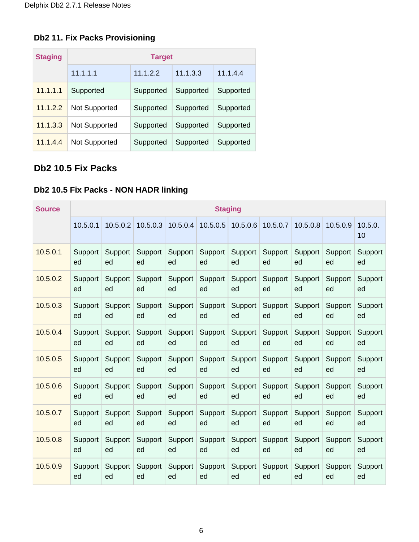#### **Db2 11. Fix Packs Provisioning**

| <b>Staging</b> | <b>Target</b>        |           |           |           |  |  |  |  |  |  |
|----------------|----------------------|-----------|-----------|-----------|--|--|--|--|--|--|
|                | 11.1.1.1             | 11.1.2.2  | 11.1.3.3  | 11.1.4.4  |  |  |  |  |  |  |
| 11.1.1.1       | Supported            | Supported | Supported | Supported |  |  |  |  |  |  |
| 11.1.2.2       | <b>Not Supported</b> | Supported | Supported | Supported |  |  |  |  |  |  |
| 11.1.3.3       | Not Supported        | Supported | Supported | Supported |  |  |  |  |  |  |
| 11.1.4.4       | Not Supported        | Supported | Supported | Supported |  |  |  |  |  |  |

#### <span id="page-5-0"></span>**Db2 10.5 Fix Packs**

### <span id="page-5-1"></span>**Db2 10.5 Fix Packs - NON HADR linking**

| <b>Source</b> | <b>Staging</b> |          |          |          |          |          |          |          |          |               |
|---------------|----------------|----------|----------|----------|----------|----------|----------|----------|----------|---------------|
|               | 10.5.0.1       | 10.5.0.2 | 10.5.0.3 | 10.5.0.4 | 10.5.0.5 | 10.5.0.6 | 10.5.0.7 | 10.5.0.8 | 10.5.0.9 | 10.5.0.<br>10 |
| 10.5.0.1      | Support        | Support  | Support  | Support  | Support  | Support  | Support  | Support  | Support  | Support       |
|               | ed             | ed       | ed       | ed       | ed       | ed       | ed       | ed       | ed       | ed            |
| 10.5.0.2      | Support        | Support  | Support  | Support  | Support  | Support  | Support  | Support  | Support  | Support       |
|               | ed             | ed       | ed       | ed       | ed       | ed       | ed       | ed       | ed       | ed            |
| 10.5.0.3      | Support        | Support  | Support  | Support  | Support  | Support  | Support  | Support  | Support  | Support       |
|               | ed             | ed       | ed       | ed       | ed       | ed       | ed       | ed       | ed       | ed            |
| 10.5.0.4      | Support        | Support  | Support  | Support  | Support  | Support  | Support  | Support  | Support  | Support       |
|               | ed             | ed       | ed       | ed       | ed       | ed       | ed       | ed       | ed       | ed            |
| 10.5.0.5      | Support        | Support  | Support  | Support  | Support  | Support  | Support  | Support  | Support  | Support       |
|               | ed             | ed       | ed       | ed       | ed       | ed       | ed       | ed       | ed       | ed            |
| 10.5.0.6      | Support        | Support  | Support  | Support  | Support  | Support  | Support  | Support  | Support  | Support       |
|               | ed             | ed       | ed       | ed       | ed       | ed       | ed       | ed       | ed       | ed            |
| 10.5.0.7      | Support        | Support  | Support  | Support  | Support  | Support  | Support  | Support  | Support  | Support       |
|               | ed             | ed       | ed       | ed       | ed       | ed       | ed       | ed       | ed       | ed            |
| 10.5.0.8      | Support        | Support  | Support  | Support  | Support  | Support  | Support  | Support  | Support  | Support       |
|               | ed             | ed       | ed       | ed       | ed       | ed       | ed       | ed       | ed       | ed            |
| 10.5.0.9      | Support        | Support  | Support  | Support  | Support  | Support  | Support  | Support  | Support  | Support       |
|               | ed             | ed       | ed       | ed       | ed       | ed       | ed       | ed       | ed       | ed            |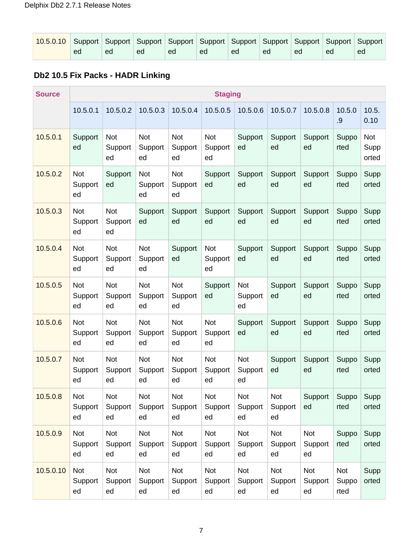| 10.5.0.10 Support Support Support Support Support Support Support Support Support Support Support |    |    |    |    |    |    |    |    |    |    |
|---------------------------------------------------------------------------------------------------|----|----|----|----|----|----|----|----|----|----|
|                                                                                                   | ed | ed | ed | ed | ed | ed | ed | ed | ed | ed |

#### <span id="page-6-0"></span>**Db2 10.5 Fix Packs - HADR Linking**

<span id="page-6-1"></span>

| <b>Source</b> |                      |                             |                             |                             | <b>Staging</b>              |                             |                      |                      |                      |                      |
|---------------|----------------------|-----------------------------|-----------------------------|-----------------------------|-----------------------------|-----------------------------|----------------------|----------------------|----------------------|----------------------|
|               | 10.5.0.1             | 10.5.0.2                    | 10.5.0.3                    | 10.5.0.4                    | 10.5.0.5                    | 10.5.0.6                    | 10.5.0.7             | 10.5.0.8             | 10.5.0<br>.9         | 10.5.<br>0.10        |
| 10.5.0.1      | Support<br>ed        | Not<br>Support<br>ed        | Not<br>Support<br>ed        | <b>Not</b><br>Support<br>ed | <b>Not</b><br>Support<br>ed | Support<br>ed               | Support<br>ed        | Support<br>ed        | Suppo<br>rted        | Not<br>Supp<br>orted |
| 10.5.0.2      | Not<br>Support<br>ed | Support<br>ed               | Not<br>Support<br>ed        | Not<br>Support<br>ed        | Support<br>ed               | Support<br>ed               | Support<br>ed        | Support<br>ed        | Suppo<br>rted        | Supp<br>orted        |
| 10.5.0.3      | Not<br>Support<br>ed | <b>Not</b><br>Support<br>ed | Support<br>ed               | Support<br>ed               | Support<br>ed               | Support<br>ed               | Support<br>ed        | Support<br>ed        | Suppo<br>rted        | Supp<br>orted        |
| 10.5.0.4      | Not<br>Support<br>ed | <b>Not</b><br>Support<br>ed | Not<br>Support<br>ed        | Support<br>ed               | Not<br>Support<br>ed        | Support<br>ed               | Support<br>ed        | Support<br>ed        | Suppo<br>rted        | Supp<br>orted        |
| 10.5.0.5      | Not<br>Support<br>ed | <b>Not</b><br>Support<br>ed | Not<br>Support<br>ed        | <b>Not</b><br>Support<br>ed | Support<br>ed               | Not<br>Support<br>ed        | Support<br>ed        | Support<br>ed        | Suppo<br>rted        | Supp<br>orted        |
| 10.5.0.6      | Not<br>Support<br>ed | <b>Not</b><br>Support<br>ed | <b>Not</b><br>Support<br>ed | Not<br>Support<br>ed        | Not<br>Support<br>ed        | Support<br>ed               | Support<br>ed        | Support<br>ed        | Suppo<br>rted        | Supp<br>orted        |
| 10.5.0.7      | Not<br>Support<br>ed | <b>Not</b><br>Support<br>ed | <b>Not</b><br>Support<br>ed | <b>Not</b><br>Support<br>ed | Not<br>Support<br>ed        | <b>Not</b><br>Support<br>ed | Support<br>ed        | Support<br>ed        | Suppo<br>rted        | Supp<br>orted        |
| 10.5.0.8      | Not<br>Support<br>ed | Not<br>Support<br>ed        | Not<br>Support<br>ed        | Not<br>Support<br>ed        | Not<br>Support<br>ed        | Not<br>Support<br>ed        | Not<br>Support<br>ed | Support<br>ed        | Suppo<br>rted        | Supp<br>orted        |
| 10.5.0.9      | Not<br>Support<br>ed | <b>Not</b><br>Support<br>ed | Not<br>Support<br>ed        | <b>Not</b><br>Support<br>ed | Not<br>Support<br>ed        | <b>Not</b><br>Support<br>ed | Not<br>Support<br>ed | Not<br>Support<br>ed | Suppo<br>rted        | Supp<br>orted        |
| 10.5.0.10     | Not<br>Support<br>ed | <b>Not</b><br>Support<br>ed | Not<br>Support<br>ed        | Not<br>Support<br>ed        | Not<br>Support<br>ed        | <b>Not</b><br>Support<br>ed | Not<br>Support<br>ed | Not<br>Support<br>ed | Not<br>Suppo<br>rted | Supp<br>orted        |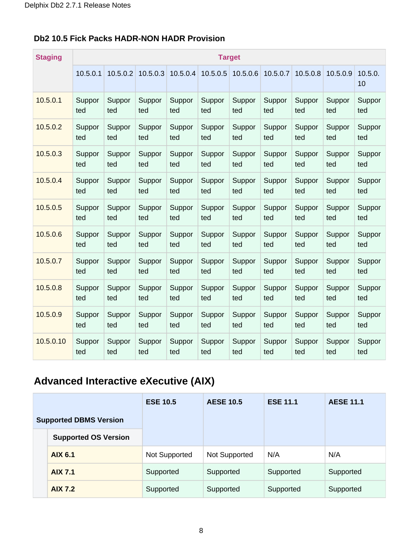| <b>Staging</b> | <b>Target</b> |          |          |          |          |          |          |          |          |               |  |  |
|----------------|---------------|----------|----------|----------|----------|----------|----------|----------|----------|---------------|--|--|
|                | 10.5.0.1      | 10.5.0.2 | 10.5.0.3 | 10.5.0.4 | 10.5.0.5 | 10.5.0.6 | 10.5.0.7 | 10.5.0.8 | 10.5.0.9 | 10.5.0.<br>10 |  |  |
| 10.5.0.1       | Suppor        | Suppor   | Suppor   | Suppor   | Suppor   | Suppor   | Suppor   | Suppor   | Suppor   | Suppor        |  |  |
|                | ted           | ted      | ted      | ted      | ted      | ted      | ted      | ted      | ted      | ted           |  |  |
| 10.5.0.2       | Suppor        | Suppor   | Suppor   | Suppor   | Suppor   | Suppor   | Suppor   | Suppor   | Suppor   | Suppor        |  |  |
|                | ted           | ted      | ted      | ted      | ted      | ted      | ted      | ted      | ted      | ted           |  |  |
| 10.5.0.3       | Suppor        | Suppor   | Suppor   | Suppor   | Suppor   | Suppor   | Suppor   | Suppor   | Suppor   | Suppor        |  |  |
|                | ted           | ted      | ted      | ted      | ted      | ted      | ted      | ted      | ted      | ted           |  |  |
| 10.5.0.4       | Suppor        | Suppor   | Suppor   | Suppor   | Suppor   | Suppor   | Suppor   | Suppor   | Suppor   | Suppor        |  |  |
|                | ted           | ted      | ted      | ted      | ted      | ted      | ted      | ted      | ted      | ted           |  |  |
| 10.5.0.5       | Suppor        | Suppor   | Suppor   | Suppor   | Suppor   | Suppor   | Suppor   | Suppor   | Suppor   | Suppor        |  |  |
|                | ted           | ted      | ted      | ted      | ted      | ted      | ted      | ted      | ted      | ted           |  |  |
| 10.5.0.6       | Suppor        | Suppor   | Suppor   | Suppor   | Suppor   | Suppor   | Suppor   | Suppor   | Suppor   | Suppor        |  |  |
|                | ted           | ted      | ted      | ted      | ted      | ted      | ted      | ted      | ted      | ted           |  |  |
| 10.5.0.7       | Suppor        | Suppor   | Suppor   | Suppor   | Suppor   | Suppor   | Suppor   | Suppor   | Suppor   | Suppor        |  |  |
|                | ted           | ted      | ted      | ted      | ted      | ted      | ted      | ted      | ted      | ted           |  |  |
| 10.5.0.8       | Suppor        | Suppor   | Suppor   | Suppor   | Suppor   | Suppor   | Suppor   | Suppor   | Suppor   | Suppor        |  |  |
|                | ted           | ted      | ted      | ted      | ted      | ted      | ted      | ted      | ted      | ted           |  |  |
| 10.5.0.9       | Suppor        | Suppor   | Suppor   | Suppor   | Suppor   | Suppor   | Suppor   | Suppor   | Suppor   | Suppor        |  |  |
|                | ted           | ted      | ted      | ted      | ted      | ted      | ted      | ted      | ted      | ted           |  |  |
| 10.5.0.10      | Suppor        | Suppor   | Suppor   | Suppor   | Suppor   | Suppor   | Suppor   | Suppor   | Suppor   | Suppor        |  |  |
|                | ted           | ted      | ted      | ted      | ted      | ted      | ted      | ted      | ted      | ted           |  |  |

#### **Db2 10.5 Fick Packs HADR-NON HADR Provision**

### <span id="page-7-0"></span>**Advanced Interactive eXecutive (AIX)**

<span id="page-7-1"></span>

|                               | <b>ESE 10.5</b> | <b>AESE 10.5</b> | <b>ESE 11.1</b> | <b>AESE 11.1</b> |
|-------------------------------|-----------------|------------------|-----------------|------------------|
| <b>Supported DBMS Version</b> |                 |                  |                 |                  |
| <b>Supported OS Version</b>   |                 |                  |                 |                  |
| <b>AIX 6.1</b>                | Not Supported   | Not Supported    | N/A             | N/A              |
| <b>AIX 7.1</b>                | Supported       | Supported        | Supported       | Supported        |
| <b>AIX 7.2</b>                | Supported       | Supported        | Supported       | Supported        |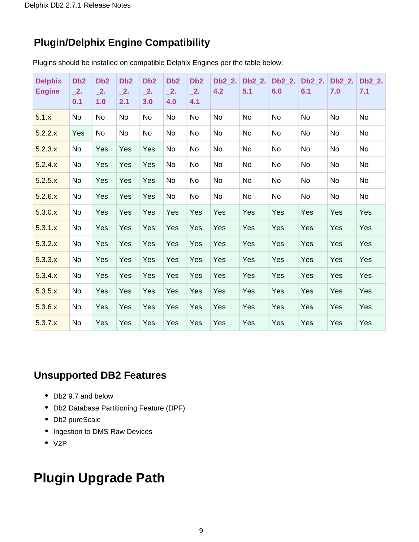### **Plugin/Delphix Engine Compatibility**

Plugins should be installed on compatible Delphix Engines per the table below:

| <b>Delphix</b><br><b>Engine</b> | D <sub>b</sub> 2<br>$\overline{\phantom{1}}$ 2.<br>0.1 | D <sub>b</sub> 2<br>$\overline{\phantom{1}}$ 2.<br>1.0 | D <sub>b</sub> 2<br>$\overline{\phantom{1}}$ 2.<br>2.1 | D <sub>b</sub> 2<br>$\overline{\phantom{1}}$ 2.<br>3.0 | D <sub>b</sub> 2<br>$\overline{\phantom{1}}$ 2.<br>4.0 | D <sub>b</sub> 2<br>$\overline{\phantom{1}}$ 2.<br>4.1 | Db2 2.<br>4.2 | Db2 2.<br>5.1 | Db2 2.<br>6.0 | Db2 2.<br>6.1 | Db2 2.<br>7.0 | Db2_2.<br>7.1 |
|---------------------------------|--------------------------------------------------------|--------------------------------------------------------|--------------------------------------------------------|--------------------------------------------------------|--------------------------------------------------------|--------------------------------------------------------|---------------|---------------|---------------|---------------|---------------|---------------|
| 5.1.x                           | No                                                     | No                                                     | No                                                     | No                                                     | <b>No</b>                                              | No                                                     | <b>No</b>     | <b>No</b>     | <b>No</b>     | <b>No</b>     | <b>No</b>     | <b>No</b>     |
| 5.2.2.x                         | Yes                                                    | <b>No</b>                                              | No                                                     | No                                                     | <b>No</b>                                              | No                                                     | No            | No            | No            | <b>No</b>     | No            | No            |
| 5.2.3.x                         | <b>No</b>                                              | Yes                                                    | Yes                                                    | Yes                                                    | <b>No</b>                                              | No                                                     | <b>No</b>     | <b>No</b>     | <b>No</b>     | <b>No</b>     | <b>No</b>     | No            |
| 5.2.4.x                         | No                                                     | Yes                                                    | Yes                                                    | Yes                                                    | <b>No</b>                                              | No                                                     | No            | No            | No            | No            | <b>No</b>     | No            |
| 5.2.5.x                         | No                                                     | Yes                                                    | Yes                                                    | Yes                                                    | <b>No</b>                                              | No                                                     | No            | No            | <b>No</b>     | <b>No</b>     | <b>No</b>     | No            |
| 5.2.6.x                         | <b>No</b>                                              | Yes                                                    | Yes                                                    | Yes                                                    | <b>No</b>                                              | <b>No</b>                                              | <b>No</b>     | <b>No</b>     | No            | <b>No</b>     | <b>No</b>     | No            |
| 5.3.0.x                         | <b>No</b>                                              | Yes                                                    | Yes                                                    | Yes                                                    | Yes                                                    | Yes                                                    | Yes           | Yes           | Yes           | Yes           | Yes           | Yes           |
| 5.3.1.x                         | <b>No</b>                                              | Yes                                                    | Yes                                                    | Yes                                                    | Yes                                                    | Yes                                                    | Yes           | Yes           | Yes           | Yes           | Yes           | Yes           |
| 5.3.2.x                         | <b>No</b>                                              | Yes                                                    | Yes                                                    | Yes                                                    | Yes                                                    | Yes                                                    | Yes           | Yes           | Yes           | Yes           | Yes           | Yes           |
| 5.3.3.x                         | No                                                     | Yes                                                    | Yes                                                    | Yes                                                    | Yes                                                    | Yes                                                    | Yes           | Yes           | Yes           | Yes           | Yes           | Yes           |
| 5.3.4.x                         | <b>No</b>                                              | Yes                                                    | Yes                                                    | Yes                                                    | Yes                                                    | Yes                                                    | Yes           | Yes           | Yes           | Yes           | Yes           | Yes           |
| 5.3.5.x                         | No                                                     | Yes                                                    | Yes                                                    | Yes                                                    | Yes                                                    | Yes                                                    | Yes           | Yes           | Yes           | Yes           | Yes           | Yes           |
| 5.3.6.x                         | No                                                     | Yes                                                    | Yes                                                    | Yes                                                    | Yes                                                    | Yes                                                    | Yes           | Yes           | Yes           | Yes           | Yes           | Yes           |
| 5.3.7.x                         | <b>No</b>                                              | Yes                                                    | Yes                                                    | Yes                                                    | Yes                                                    | Yes                                                    | Yes           | Yes           | Yes           | Yes           | Yes           | Yes           |

#### **Unsupported DB2 Features**

- Db2 9.7 and below
- Db2 Database Partitioning Feature (DPF)
- Db2 pureScale
- Ingestion to DMS Raw Devices
- $\bullet$  V2P

# **Plugin Upgrade Path**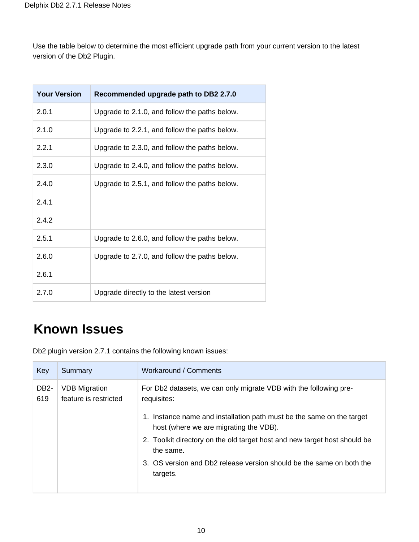Use the table below to determine the most efficient upgrade path from your current version to the latest version of the Db2 Plugin.

| <b>Your Version</b> | Recommended upgrade path to DB2 2.7.0         |
|---------------------|-----------------------------------------------|
| 2.0.1               | Upgrade to 2.1.0, and follow the paths below. |
| 2.1.0               | Upgrade to 2.2.1, and follow the paths below. |
| 2.2.1               | Upgrade to 2.3.0, and follow the paths below. |
| 2.3.0               | Upgrade to 2.4.0, and follow the paths below. |
| 2.4.0               | Upgrade to 2.5.1, and follow the paths below. |
| 2.4.1               |                                               |
| 2.4.2               |                                               |
| 2.5.1               | Upgrade to 2.6.0, and follow the paths below. |
| 2.6.0               | Upgrade to 2.7.0, and follow the paths below. |
| 2.6.1               |                                               |
| 2.7.0               | Upgrade directly to the latest version        |

# **Known Issues**

Db2 plugin version 2.7.1 contains the following known issues:

| Key                      | Summary                                       | Workaround / Comments                                                                                           |
|--------------------------|-----------------------------------------------|-----------------------------------------------------------------------------------------------------------------|
| DB <sub>2</sub> -<br>619 | <b>VDB Migration</b><br>feature is restricted | For Db2 datasets, we can only migrate VDB with the following pre-<br>requisites:                                |
|                          |                                               | 1. Instance name and installation path must be the same on the target<br>host (where we are migrating the VDB). |
|                          |                                               | 2. Toolkit directory on the old target host and new target host should be<br>the same.                          |
|                          |                                               | 3. OS version and Db2 release version should be the same on both the<br>targets.                                |